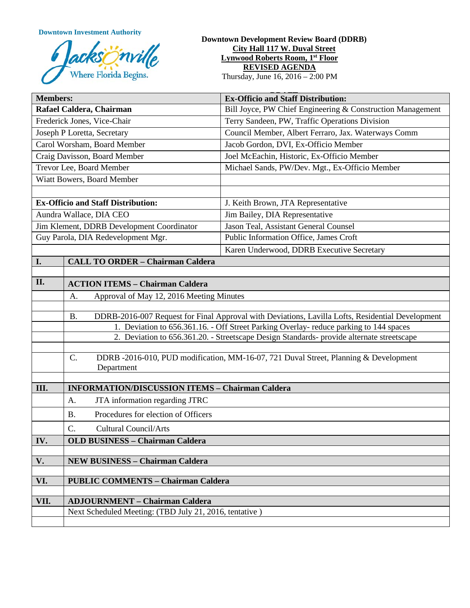**Downtown Investment Authority**



## **Downtown Development Review Board (DDRB) City Hall 117 W. Duval Street Lynwood Roberts Room, 1st Floor REVISED AGENDA**

Thursday, June 16, 2016 – 2:00 PM

| <b>Members:</b>                           |                                                                                                                                                                                     | <b>Ex-Officio and Staff Distribution:</b>                                            |
|-------------------------------------------|-------------------------------------------------------------------------------------------------------------------------------------------------------------------------------------|--------------------------------------------------------------------------------------|
| Rafael Caldera, Chairman                  |                                                                                                                                                                                     | Bill Joyce, PW Chief Engineering & Construction Management                           |
| Frederick Jones, Vice-Chair               |                                                                                                                                                                                     | Terry Sandeen, PW, Traffic Operations Division                                       |
| Joseph P Loretta, Secretary               |                                                                                                                                                                                     | Council Member, Albert Ferraro, Jax. Waterways Comm                                  |
| Carol Worsham, Board Member               |                                                                                                                                                                                     | Jacob Gordon, DVI, Ex-Officio Member                                                 |
| Craig Davisson, Board Member              |                                                                                                                                                                                     | Joel McEachin, Historic, Ex-Officio Member                                           |
| Trevor Lee, Board Member                  |                                                                                                                                                                                     | Michael Sands, PW/Dev. Mgt., Ex-Officio Member                                       |
| Wiatt Bowers, Board Member                |                                                                                                                                                                                     |                                                                                      |
|                                           |                                                                                                                                                                                     |                                                                                      |
| <b>Ex-Officio and Staff Distribution:</b> |                                                                                                                                                                                     | J. Keith Brown, JTA Representative                                                   |
| Aundra Wallace, DIA CEO                   |                                                                                                                                                                                     | Jim Bailey, DIA Representative                                                       |
| Jim Klement, DDRB Development Coordinator |                                                                                                                                                                                     | Jason Teal, Assistant General Counsel                                                |
| Guy Parola, DIA Redevelopment Mgr.        |                                                                                                                                                                                     | Public Information Office, James Croft                                               |
|                                           |                                                                                                                                                                                     | Karen Underwood, DDRB Executive Secretary                                            |
| I.                                        | <b>CALL TO ORDER - Chairman Caldera</b>                                                                                                                                             |                                                                                      |
|                                           |                                                                                                                                                                                     |                                                                                      |
| II.                                       | <b>ACTION ITEMS - Chairman Caldera</b>                                                                                                                                              |                                                                                      |
|                                           | Approval of May 12, 2016 Meeting Minutes<br>A.                                                                                                                                      |                                                                                      |
|                                           |                                                                                                                                                                                     |                                                                                      |
|                                           | DDRB-2016-007 Request for Final Approval with Deviations, Lavilla Lofts, Residential Development<br><b>B.</b>                                                                       |                                                                                      |
|                                           | 1. Deviation to 656.361.16. - Off Street Parking Overlay- reduce parking to 144 spaces<br>2. Deviation to 656.361.20. - Streetscape Design Standards- provide alternate streetscape |                                                                                      |
|                                           |                                                                                                                                                                                     |                                                                                      |
|                                           | C.                                                                                                                                                                                  | DDRB -2016-010, PUD modification, MM-16-07, 721 Duval Street, Planning & Development |
|                                           | Department                                                                                                                                                                          |                                                                                      |
|                                           |                                                                                                                                                                                     |                                                                                      |
| III.                                      | <b>INFORMATION/DISCUSSION ITEMS - Chairman Caldera</b>                                                                                                                              |                                                                                      |
|                                           | JTA information regarding JTRC<br>A.                                                                                                                                                |                                                                                      |
|                                           | Procedures for election of Officers<br><b>B.</b>                                                                                                                                    |                                                                                      |
|                                           | C.<br><b>Cultural Council/Arts</b>                                                                                                                                                  |                                                                                      |
| IV.                                       | <b>OLD BUSINESS - Chairman Caldera</b>                                                                                                                                              |                                                                                      |
|                                           |                                                                                                                                                                                     |                                                                                      |
| V.                                        | <b>NEW BUSINESS - Chairman Caldera</b>                                                                                                                                              |                                                                                      |
|                                           |                                                                                                                                                                                     |                                                                                      |
| VI.                                       | <b>PUBLIC COMMENTS - Chairman Caldera</b>                                                                                                                                           |                                                                                      |
| VII.                                      | <b>ADJOURNMENT - Chairman Caldera</b>                                                                                                                                               |                                                                                      |
|                                           | Next Scheduled Meeting: (TBD July 21, 2016, tentative)                                                                                                                              |                                                                                      |
|                                           |                                                                                                                                                                                     |                                                                                      |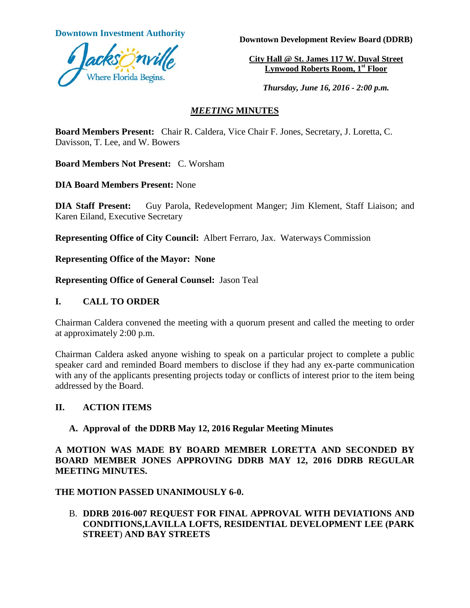

**Downtown Investment Authority Downtown Development Review Board (DDRB)** 

**City Hall @ St. James 117 W. Duval Street Lynwood Roberts Room, 1st Floor** 

*Thursday, June 16, 2016 - 2:00 p.m.*

# *MEETING* **MINUTES**

**Board Members Present:** Chair R. Caldera, Vice Chair F. Jones, Secretary, J. Loretta, C. Davisson, T. Lee, and W. Bowers

**Board Members Not Present:** C. Worsham

**DIA Board Members Present:** None

**DIA Staff Present:** Guy Parola, Redevelopment Manger; Jim Klement, Staff Liaison; and Karen Eiland, Executive Secretary

**Representing Office of City Council:** Albert Ferraro, Jax. Waterways Commission

**Representing Office of the Mayor: None**

**Representing Office of General Counsel:** Jason Teal

## **I. CALL TO ORDER**

Chairman Caldera convened the meeting with a quorum present and called the meeting to order at approximately 2:00 p.m.

Chairman Caldera asked anyone wishing to speak on a particular project to complete a public speaker card and reminded Board members to disclose if they had any ex-parte communication with any of the applicants presenting projects today or conflicts of interest prior to the item being addressed by the Board.

# **II. ACTION ITEMS**

# **A. Approval of the DDRB May 12, 2016 Regular Meeting Minutes**

**A MOTION WAS MADE BY BOARD MEMBER LORETTA AND SECONDED BY BOARD MEMBER JONES APPROVING DDRB MAY 12, 2016 DDRB REGULAR MEETING MINUTES.** 

**THE MOTION PASSED UNANIMOUSLY 6-0.** 

B. **DDRB 2016-007 REQUEST FOR FINAL APPROVAL WITH DEVIATIONS AND CONDITIONS,LAVILLA LOFTS, RESIDENTIAL DEVELOPMENT LEE (PARK STREET**) **AND BAY STREETS**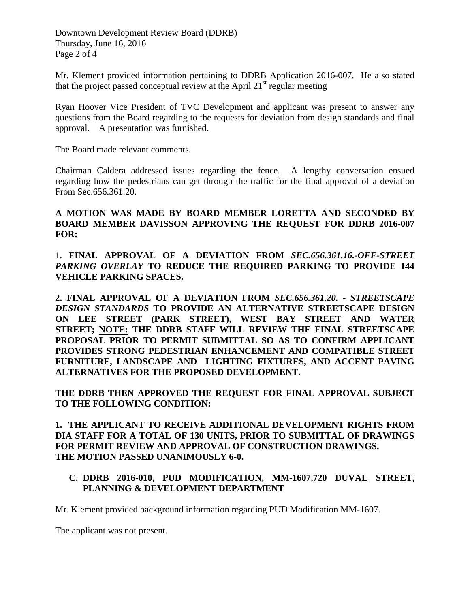Downtown Development Review Board (DDRB) Thursday, June 16, 2016 Page 2 of 4

Mr. Klement provided information pertaining to DDRB Application 2016-007. He also stated that the project passed conceptual review at the April  $21<sup>st</sup>$  regular meeting

Ryan Hoover Vice President of TVC Development and applicant was present to answer any questions from the Board regarding to the requests for deviation from design standards and final approval. A presentation was furnished.

The Board made relevant comments.

Chairman Caldera addressed issues regarding the fence. A lengthy conversation ensued regarding how the pedestrians can get through the traffic for the final approval of a deviation From Sec.656.361.20.

## **A MOTION WAS MADE BY BOARD MEMBER LORETTA AND SECONDED BY BOARD MEMBER DAVISSON APPROVING THE REQUEST FOR DDRB 2016-007 FOR:**

1. **FINAL APPROVAL OF A DEVIATION FROM** *SEC.656.361.16.-OFF-STREET PARKING OVERLAY* **TO REDUCE THE REQUIRED PARKING TO PROVIDE 144 VEHICLE PARKING SPACES.** 

**2. FINAL APPROVAL OF A DEVIATION FROM** *SEC.656.361.20. - STREETSCAPE DESIGN STANDARDS* **TO PROVIDE AN ALTERNATIVE STREETSCAPE DESIGN ON LEE STREET (PARK STREET), WEST BAY STREET AND WATER STREET; NOTE: THE DDRB STAFF WILL REVIEW THE FINAL STREETSCAPE PROPOSAL PRIOR TO PERMIT SUBMITTAL SO AS TO CONFIRM APPLICANT PROVIDES STRONG PEDESTRIAN ENHANCEMENT AND COMPATIBLE STREET FURNITURE, LANDSCAPE AND LIGHTING FIXTURES, AND ACCENT PAVING ALTERNATIVES FOR THE PROPOSED DEVELOPMENT.** 

**THE DDRB THEN APPROVED THE REQUEST FOR FINAL APPROVAL SUBJECT TO THE FOLLOWING CONDITION:**

**1. THE APPLICANT TO RECEIVE ADDITIONAL DEVELOPMENT RIGHTS FROM DIA STAFF FOR A TOTAL OF 130 UNITS, PRIOR TO SUBMITTAL OF DRAWINGS FOR PERMIT REVIEW AND APPROVAL OF CONSTRUCTION DRAWINGS. THE MOTION PASSED UNANIMOUSLY 6-0.**

# **C. DDRB 2016-010, PUD MODIFICATION, MM-1607,720 DUVAL STREET, PLANNING & DEVELOPMENT DEPARTMENT**

Mr. Klement provided background information regarding PUD Modification MM-1607.

The applicant was not present.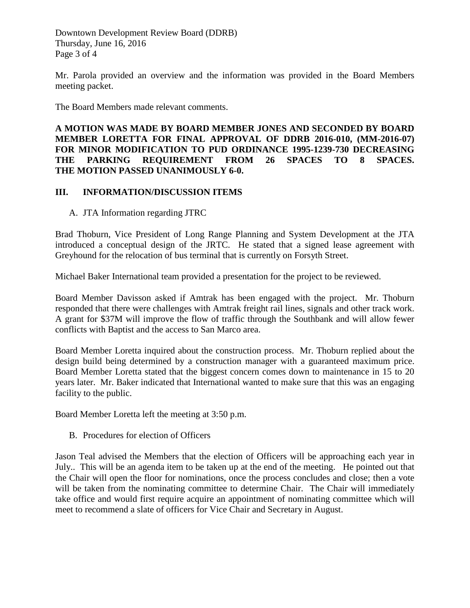Downtown Development Review Board (DDRB) Thursday, June 16, 2016 Page 3 of 4

Mr. Parola provided an overview and the information was provided in the Board Members meeting packet.

The Board Members made relevant comments.

**A MOTION WAS MADE BY BOARD MEMBER JONES AND SECONDED BY BOARD MEMBER LORETTA FOR FINAL APPROVAL OF DDRB 2016-010, (MM-2016-07) FOR MINOR MODIFICATION TO PUD ORDINANCE 1995-1239-730 DECREASING THE PARKING REQUIREMENT FROM 26 SPACES TO 8 SPACES. THE MOTION PASSED UNANIMOUSLY 6-0.** 

## **III. INFORMATION/DISCUSSION ITEMS**

A. JTA Information regarding JTRC

Brad Thoburn, Vice President of Long Range Planning and System Development at the JTA introduced a conceptual design of the JRTC. He stated that a signed lease agreement with Greyhound for the relocation of bus terminal that is currently on Forsyth Street.

Michael Baker International team provided a presentation for the project to be reviewed.

Board Member Davisson asked if Amtrak has been engaged with the project. Mr. Thoburn responded that there were challenges with Amtrak freight rail lines, signals and other track work. A grant for \$37M will improve the flow of traffic through the Southbank and will allow fewer conflicts with Baptist and the access to San Marco area.

Board Member Loretta inquired about the construction process. Mr. Thoburn replied about the design build being determined by a construction manager with a guaranteed maximum price. Board Member Loretta stated that the biggest concern comes down to maintenance in 15 to 20 years later. Mr. Baker indicated that International wanted to make sure that this was an engaging facility to the public.

Board Member Loretta left the meeting at 3:50 p.m.

B. Procedures for election of Officers

Jason Teal advised the Members that the election of Officers will be approaching each year in July.. This will be an agenda item to be taken up at the end of the meeting. He pointed out that the Chair will open the floor for nominations, once the process concludes and close; then a vote will be taken from the nominating committee to determine Chair. The Chair will immediately take office and would first require acquire an appointment of nominating committee which will meet to recommend a slate of officers for Vice Chair and Secretary in August.